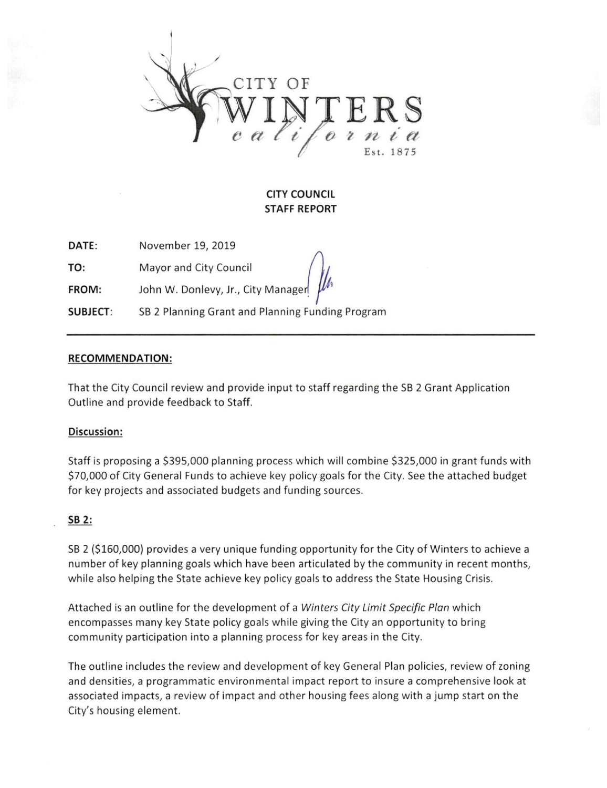

# CITY COUNCIL STAFF REPORT

DATE: November 19, 2019

TO: Mayor and City Council

FROM: John W. Donlevy, Jr., City Manager

SUBJECT: SB 2 Planning Grant and Planning Funding Program

## RECOMMENDATION:

That the City Council review and provide input to staff regarding the SB 2 Grant Application Outline and provide feedback to Staff.

# Discussion;

Staff is proposing a \$395,000 planning process which will combine \$325,000 in grant funds with \$70,000 of City General Funds to achieve key policy goals for the City. See the attached budget for key projects and associated budgets and funding sources.

# SB 2:

SB 2 (\$160,000) provides a very unique funding opportunity for the City of Winters to achieve a number of key planning goals which have been articulated by the community in recent months, while also helping the State achieve key policy goals to address the State Housing Crisis.

Attached is an outline for the development of a Winters City Limit Specific Plan which encompasses many key State policy goals while giving the City an opportunity to bring community participation into a planning process for key areas in the City.

The outline includes the review and development of key General Plan policies, review of zoning and densities, a programmatic environmental impact report to insure a comprehensive look at associated impacts, a review of impact and other housing fees along with a jump start on the City's housing element.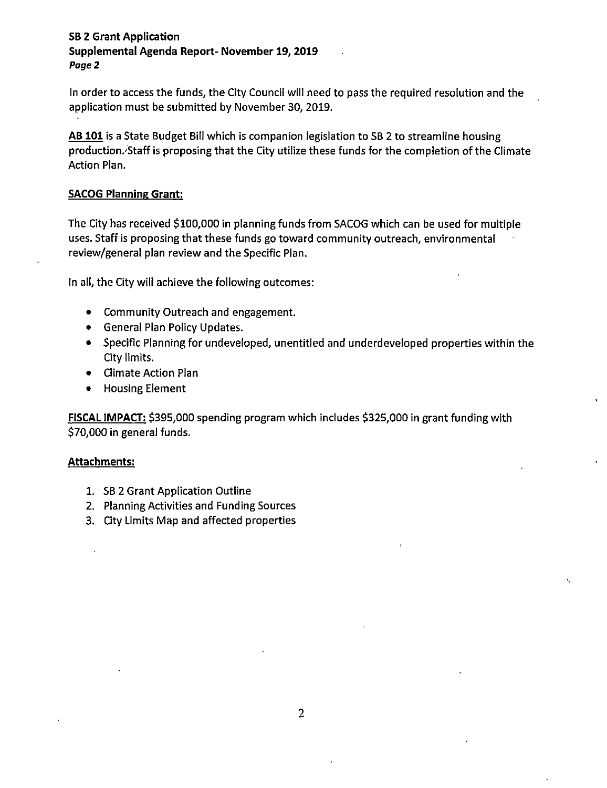# SB 2 Grant Application Supplemental Agenda Report- November 19, 2019 Page 2

In order to access the funds, the City Council will need to pass the required resolution and the application must be submitted by November 30, 2019.

AB 101 is a State Budget Bill which is companion legislation to SB 2 to streamline housing production.'Staff is proposing that the City utilize these funds for the completion of the Climate Action Plan.

## SACOG Planning Grant:

The City has received \$100,000 in planning funds from SACOG which can be used for multiple uses. Staff is proposing that these funds go toward community outreach, environmental review/general plan review and the Specific Plan.

In all, the City will achieve the following outcomes:

- Community Outreach and engagement.
- General Plan Policy Updates.
- Specific Planning for undeveloped, unentitled and underdeveloped properties within the City limits.
- Climate Action Plan
- Housing Element

FISCAL IMPACT: \$395,000 spending program which includes \$325,000 in grant funding with \$70,000 in general funds.

### Attachments;

- 1. SB 2 Grant Application Outline
- 2. Planning Activities and Funding Sources
- 3. City Limits Map and affected properties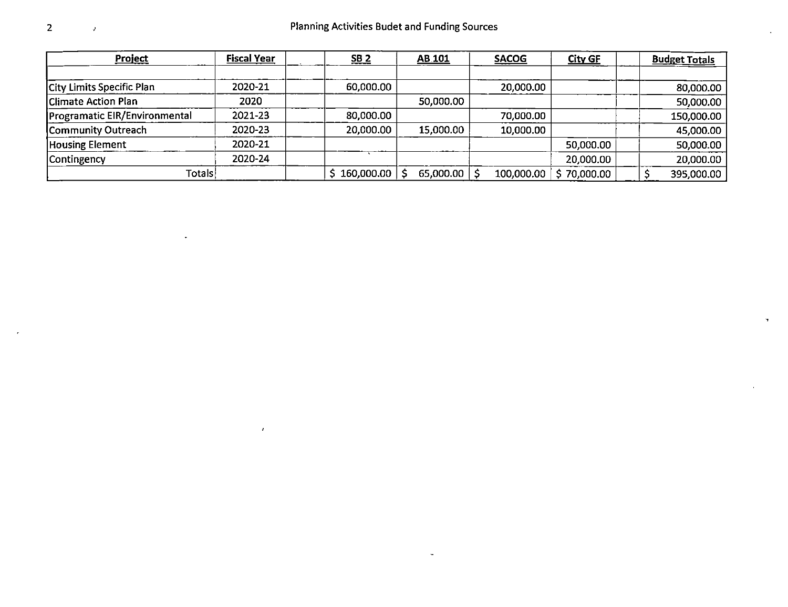| Project                              | <b>Fiscal Year</b> | 5B <sub>2</sub> | AB.101    | <b>SACOG</b> | <b>City GF</b> | <b>Budget Totals</b> |            |
|--------------------------------------|--------------------|-----------------|-----------|--------------|----------------|----------------------|------------|
|                                      |                    |                 |           |              |                |                      |            |
| City Limits Specific Plan            | 2020-21            | 60,000.00       |           | 20,000.00    |                |                      | 80,000.00  |
| <b>Climate Action Plan</b>           | 2020               |                 | 50,000.00 |              |                |                      | 50,000.00  |
| <b>Programatic EIR/Environmental</b> | 2021-23            | 80,000.00       |           | 70,000.00    |                |                      | 150,000.00 |
| Community Outreach                   | 2020-23            | 20,000.00       | 15,000.00 | 10,000.00    |                |                      | 45,000.00  |
| <b>Housing Element</b>               | 2020-21            |                 |           |              | 50,000.00      |                      | 50,000.00  |
| Contingency                          | 2020-24            |                 |           |              | 20,000.00      |                      | 20,000.00  |
| Totals                               |                    | 160,000.00      | 65,000.00 | 100,000.00   | 70,000.00      |                      | 395,000.00 |

 $\ddot{\phantom{1}}$ 

 $\pmb{\sigma}$ 

 $\bar{J}$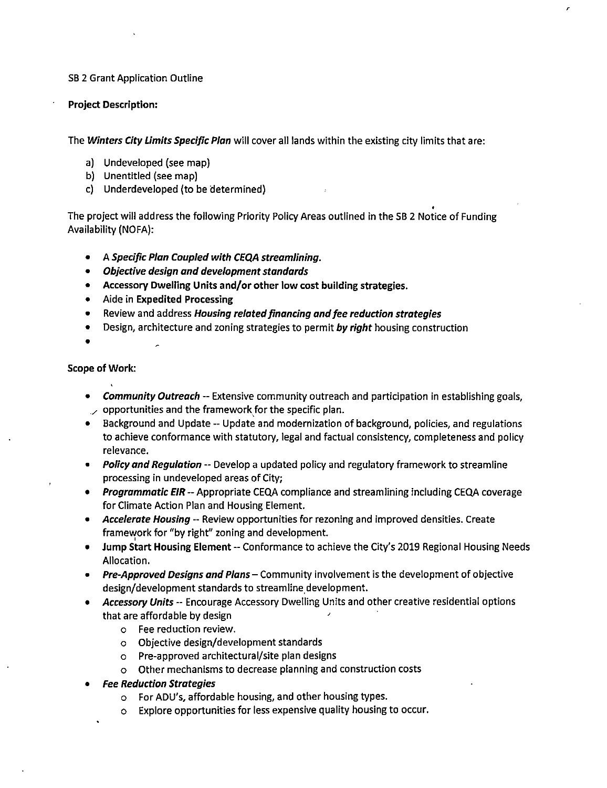#### SB 2 Grant Application Outline

#### Project Description:

The Winters City Limits Specific Plan will cover all lands within the existing city limits that are:

- a) Undeveloped (see map)
- b) Unentitled (see map)
- c) Underdeveloped (to be determined)

The project will address the following Priority Policy Areas outlined in the SB 2 Notice of Funding Availability (NOFA):

- $\bullet$ A Specific Plan Coupled with CEQA streamlining.
- Objective design and development standards
- Accessory Dwelling Units and/or other low cost building strategies.
- Aide in Expedited Processing
- Review and address Housing related financing and fee reduction strategies
- Design, architecture and zoning strategies to permit by right housing construction
- 

#### Scope of Work:

- **Community Outreach -- Extensive community outreach and participation in establishing goals,**  $\sim$  opportunities and the framework for the specific plan.
- Background and Update Update and modernization of background, policies, and regulations to achieve conformance with statutory, legal and factual consistency, completeness and policy relevance.
- Policy and Regulation -- Develop a updated policy and regulatory framework to streamline processing in undeveloped areas of City;
- Programmatic EIR -- Appropriate CEQA compliance and streamlining including CEQA coverage for Climate Action Plan and Housing Element.
- Accelerate Housing -- Review opportunities for rezoning and improved densities. Create framework for "by right" zoning and development.
- Jump Start Housing Element -- Conformance to achieve the City's 2019 Regional Housing Needs Allocation.
- Pre-Approved Designs and Plans Community involvement is the development of objective design/development standards to streamline development.
- Accessory Units -- Encourage Accessory Dwelling Units and other creative residential options that are affordable by design ^
	- o Fee reduction review,
	- o Objective design/development standards
	- o Pre-approved architectural/site plan designs
	- o Other mechanisms to decrease planning and construction costs
- Fee Reduction Strategies
	- o For ADU's, affordable housing, and other housing types,
	- o Explore opportunities for less expensive quality housing to occur.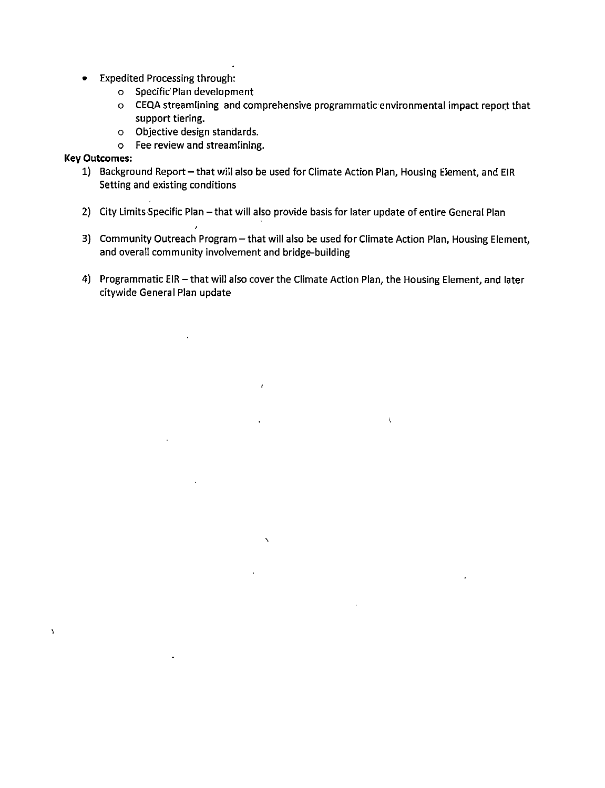- Expedited Processing through:
	- o Specific'Plan development
	- o CEQA streamlining and comprehensive programmatic environmental Impact report that support tiering,
	- o Objective design standards,
	- o Fee review and streamlining.

### Key Outcomes:

 $\lambda$ 

- 1) Background Report that will also be used for Climate Action Plan, Housing Element, and EIR Setting and existing conditions
- 2) City Limits Specific Plan that will also provide basis for later update of entire General Plan
- 3) Community Outreach Program that will also be used for Climate Action Plan, Housing Element, and overall community involvement and bridge-building
- 4) Programmatic EIR that will also cover the Climate Action Plan, the Housing Element, and later citywide General Plan update

 $\mathbf t$ 

 $\hat{r}$ 

 $\overline{\phantom{0}}$